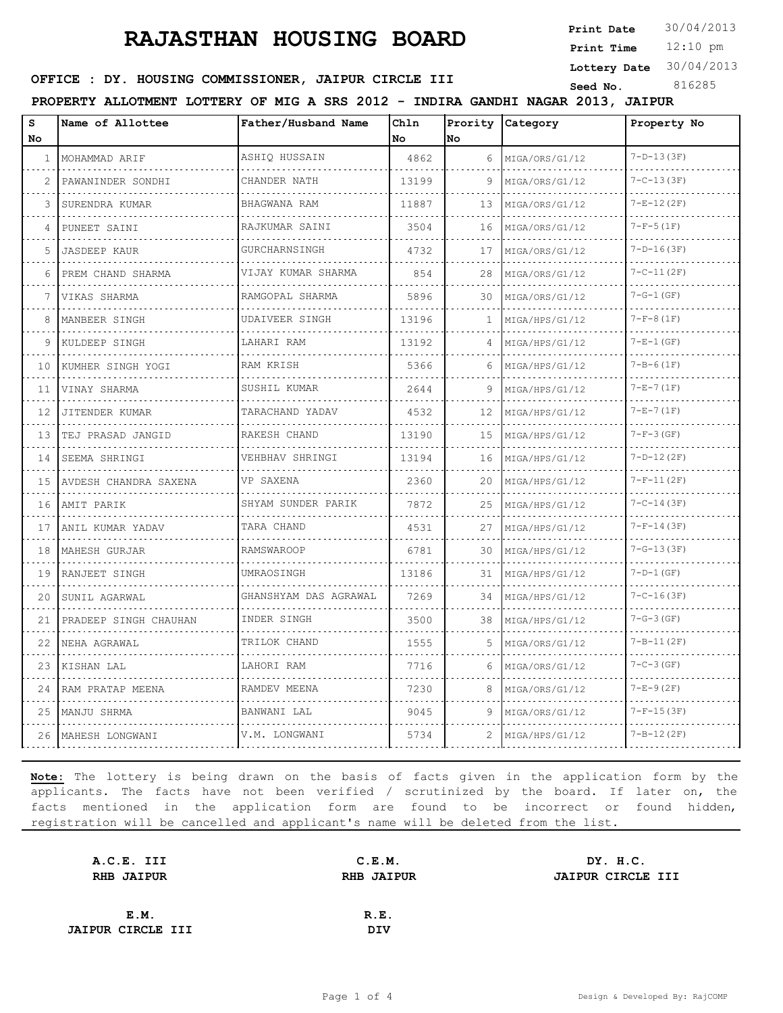## **RAJASTHAN HOUSING BOARD**

**Print Date**  $30/04/2013$ 

12:10 pm **Print Time**

**Lottery Date** 30/04/2013

### **SEED OFFICE : DY. HOUSING COMMISSIONER, JAIPUR CIRCLE III** Seed No. 816285

**PROPERTY ALLOTMENT LOTTERY OF MIG A SRS 2012 - INDIRA GANDHI NAGAR 2013, JAIPUR**

| s<br>No | Name of Allottee      | Father/Husband Name         | Chln<br>No. | <b>No</b> | Prority Category | Property No      |
|---------|-----------------------|-----------------------------|-------------|-----------|------------------|------------------|
| 1       | MOHAMMAD ARIF         | ASHIQ HUSSAIN               | 4862        | 6         | MIGA/ORS/G1/12   | $7-D-13(3F)$     |
| 2       | PAWANINDER SONDHI     | CHANDER NATH                | 13199       | 9         | MIGA/ORS/G1/12   | $7 - C - 13(3F)$ |
| 3       | SURENDRA KUMAR        | BHAGWANA RAM                | 11887       | 13        | MIGA/ORS/G1/12   | $7-E-12(2F)$     |
| 4       | PUNEET SAINI          | RAJKUMAR SAINI              | 3504        | 16        | MIGA/ORS/G1/12   | $7-F-5(1F)$      |
| 5       | <b>JASDEEP KAUR</b>   | .<br>GURCHARNSINGH          | 4732        | 17        | MIGA/ORS/G1/12   | $7-D-16(3F)$     |
| 6       | PREM CHAND SHARMA     | VIJAY KUMAR SHARMA          | 854         | 28        | MIGA/ORS/G1/12   | $7 - C - 11(2F)$ |
| 7       | VIKAS SHARMA          | <u>.</u><br>RAMGOPAL SHARMA | 5896        | 30        | MIGA/ORS/G1/12   | $7-G-1(GF)$      |
| 8       | MANBEER SINGH         | UDAIVEER SINGH              | 13196       | 1         | MIGA/HPS/G1/12   | $7-F-8(1F)$      |
| 9       | KULDEEP SINGH         | LAHARI RAM                  | 13192       | 4         | MIGA/HPS/G1/12   | $7 - E - 1$ (GF) |
| 10      | KUMHER SINGH YOGI     | RAM KRISH                   | 5366        | 6         | MIGA/HPS/G1/12   | $7 - B - 6(1F)$  |
| 11      | VINAY SHARMA          | SUSHIL KUMAR                | 2644        | 9         | MIGA/HPS/G1/12   | $7-E-7(1F)$      |
| 12      | JITENDER KUMAR<br>.   | TARACHAND YADAV<br>.        | 4532        | 12        | MIGA/HPS/G1/12   | $7 - E - 7(1F)$  |
| 13      | TEJ PRASAD JANGID     | RAKESH CHAND                | 13190       | 15        | MIGA/HPS/G1/12   | $7-F-3(GF)$      |
| 14      | SEEMA SHRINGI         | VEHBHAV SHRINGI             | 13194       | 16        | MIGA/HPS/G1/12   | $7-D-12(2F)$     |
| 15      | AVDESH CHANDRA SAXENA | VP SAXENA                   | 2360        | 20        | MIGA/HPS/G1/12   | $7-F-11(2F)$     |
| 16      | AMIT PARIK            | SHYAM SUNDER PARIK          | 7872        | 25        | MIGA/HPS/G1/12   | $7 - C - 14(3F)$ |
| 17      | ANIL KUMAR YADAV      | TARA CHAND                  | 4531        | 27        | MIGA/HPS/G1/12   | $7-F-14(3F)$     |
| 18      | MAHESH GURJAR         | <b>RAMSWAROOP</b>           | 6781        | 30        | MIGA/HPS/G1/12   | $7-G-13(3F)$     |
| 19      | RANJEET SINGH         | UMRAOSINGH                  | 13186       | 31        | MIGA/HPS/G1/12   | $7-D-1$ (GF)     |
| 20      | SUNIL AGARWAL         | GHANSHYAM DAS AGRAWAL       | 7269        | 34        | MIGA/HPS/G1/12   | $7 - C - 16(3F)$ |
| 21      | PRADEEP SINGH CHAUHAN | INDER SINGH                 | 3500        | 38        | MIGA/HPS/G1/12   | $7-G-3(GF)$      |
| 22      | NEHA AGRAWAL          | TRILOK CHAND                | 1555        | 5         | MIGA/ORS/G1/12   | $7 - B - 11(2F)$ |
| 23      | KISHAN LAL            | LAHORI RAM                  | 7716        | 6         | MIGA/ORS/G1/12   | $7 - C - 3$ (GF) |
| 24      | RAM PRATAP MEENA      | RAMDEV MEENA                | 7230        | 8         | MIGA/ORS/G1/12   | $7-E-9(2F)$      |
|         | 25   MANJU SHRMA      | BANWANI LAL                 | 9045        | 9         | MIGA/ORS/G1/12   | $7-F-15(3F)$     |
|         | 26   MAHESH LONGWANI  | V.M. LONGWANI               | 5734        | 2         | MIGA/HPS/G1/12   | $7 - B - 12(2F)$ |

**Note:** The lottery is being drawn on the basis of facts given in the application form by the applicants. The facts have not been verified / scrutinized by the board. If later on, the facts mentioned in the application form are found to be incorrect or found hidden, registration will be cancelled and applicant's name will be deleted from the list.

| A.C.E. III               | C.E.M.            | DY. H.C.                 |
|--------------------------|-------------------|--------------------------|
| <b>RHB JAIPUR</b>        | <b>RHB JAIPUR</b> | <b>JAIPUR CIRCLE III</b> |
|                          |                   |                          |
| E.M.                     | R.E.              |                          |
| <b>JAIPUR CIRCLE III</b> | DIV               |                          |
|                          |                   |                          |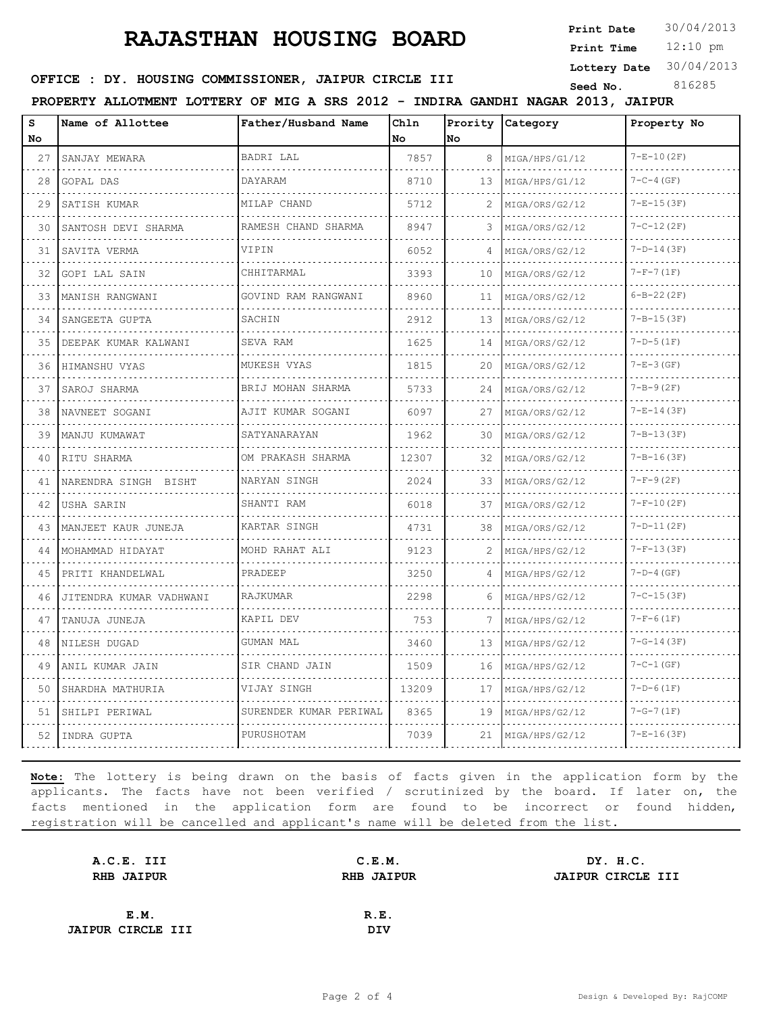# **RAJASTHAN HOUSING BOARD**

**Print Date**  $30/04/2013$ 

12:10 pm **Print Time**

**Lottery Date** 30/04/2013

## **SEED OFFICE : DY. HOUSING COMMISSIONER, JAIPUR CIRCLE III** Seed No. 816285

**PROPERTY ALLOTMENT LOTTERY OF MIG A SRS 2012 - INDIRA GANDHI NAGAR 2013, JAIPUR**

| s<br>No | Name of Allottee        | Father/Husband Name      | Chln<br>No. | No | Prority Category    | Property No      |
|---------|-------------------------|--------------------------|-------------|----|---------------------|------------------|
| 27      | SANJAY MEWARA           | BADRI LAL                | 7857        | 8  | MIGA/HPS/G1/12      | $7 - E - 10(2F)$ |
| 28      | GOPAL DAS               | DAYARAM                  | 8710        | 13 | MIGA/HPS/G1/12      | $7 - C - 4$ (GF) |
| 29      | SATISH KUMAR            | MILAP CHAND              | 5712        |    | MIGA/ORS/G2/12      | $7-E-15(3F)$     |
| 30      | SANTOSH DEVI SHARMA     | RAMESH CHAND SHARMA      | 8947        | 3  | MIGA/ORS/G2/12      | $7 - C - 12(2F)$ |
| 31      | SAVITA VERMA            | VIPIN                    | 6052        | 4  | MIGA/ORS/G2/12      | $7-D-14(3F)$     |
| 32      | <b>GOPI LAL SAIN</b>    | CHHITARMAL               | 3393        | 10 | .<br>MIGA/ORS/G2/12 | $7-F-7(1F)$      |
| 33      | MANISH RANGWANI         | .<br>GOVIND RAM RANGWANI | 8960        | 11 | MIGA/ORS/G2/12      | $6 - B - 22(2F)$ |
| 34      | SANGEETA GUPTA          | SACHIN                   | 2912        | 13 | MIGA/ORS/G2/12      | $7 - B - 15(3F)$ |
| 35      | DEEPAK KUMAR KALWANI    | SEVA RAM                 | 1625        | 14 | MIGA/ORS/G2/12      | $7-D-5(1F)$      |
| 36      | HIMANSHU VYAS           | MUKESH VYAS              | 1815        | 20 | MIGA/ORS/G2/12      | $7 - E - 3$ (GF) |
| 37      | SAROJ SHARMA            | BRIJ MOHAN SHARMA        | 5733        | 24 | MIGA/ORS/G2/12      | $7 - B - 9 (2F)$ |
| 38      | NAVNEET SOGANI          | AJIT KUMAR SOGANI        | 6097        | 27 | MIGA/ORS/G2/12      | $7-E-14(3F)$     |
| 39      | MANJU KUMAWAT           | SATYANARAYAN             | 1962        | 30 | MIGA/ORS/G2/12      | $7 - B - 13(3F)$ |
| 40      | RITU SHARMA             | OM PRAKASH SHARMA<br>.   | 12307       | 32 | MIGA/ORS/G2/12      | $7 - B - 16(3F)$ |
| 41      | NARENDRA SINGH BISHT    | NARYAN SINGH             | 2024        | 33 | MIGA/ORS/G2/12      | $7-F-9(2F)$      |
| 42      | USHA SARIN              | SHANTI RAM               | 6018        | 37 | MIGA/ORS/G2/12      | $7-F-10(2F)$     |
| 43      | MANJEET KAUR JUNEJA     | KARTAR SINGH             | 4731        | 38 | MIGA/ORS/G2/12      | $7-D-11(2F)$     |
| 44      | MOHAMMAD HIDAYAT        | MOHD RAHAT ALI           | 9123        | 2  | MIGA/HPS/G2/12      | $7-F-13(3F)$     |
| 45      | PRITI KHANDELWAL        | PRADEEP                  | 3250        | 4  | MIGA/HPS/G2/12      | $7-D-4$ (GF)     |
| 46      | JITENDRA KUMAR VADHWANI | RAJKUMAR                 | 2298        | 6  | MIGA/HPS/G2/12<br>. | $7 - C - 15(3F)$ |
| 47      | TANUJA JUNEJA           | KAPIL DEV                | 753         |    | MIGA/HPS/G2/12      | $7-F-6(1F)$      |
| 48      | NILESH DUGAD            | GUMAN MAL                | 3460        | 13 | MIGA/HPS/G2/12      | $7-G-14(3F)$     |
| 49      | ANIL KUMAR JAIN         | SIR CHAND JAIN           | 1509        | 16 | MIGA/HPS/G2/12      | $7 - C - 1$ (GF) |
| 50      | SHARDHA MATHURIA        | VIJAY SINGH              | 13209       | 17 | MIGA/HPS/G2/12      | $7-D-6(1F)$      |
| 51      | SHILPI PERIWAL          | SURENDER KUMAR PERIWAL   | 8365        | 19 | MIGA/HPS/G2/12      | $7-G-7(1F)$      |
| 52      | INDRA GUPTA             | PURUSHOTAM               | 7039        | 21 | MIGA/HPS/G2/12      | $7-E-16(3F)$     |

**Note:** The lottery is being drawn on the basis of facts given in the application form by the applicants. The facts have not been verified / scrutinized by the board. If later on, the facts mentioned in the application form are found to be incorrect or found hidden, registration will be cancelled and applicant's name will be deleted from the list.

| A.C.E. III               | C.E.M.            | DY. H.C.                 |
|--------------------------|-------------------|--------------------------|
| <b>RHB JAIPUR</b>        | <b>RHB JAIPUR</b> | <b>JAIPUR CIRCLE III</b> |
|                          |                   |                          |
| E.M.                     | R.E.              |                          |
| <b>JAIPUR CIRCLE III</b> | DIV               |                          |
|                          |                   |                          |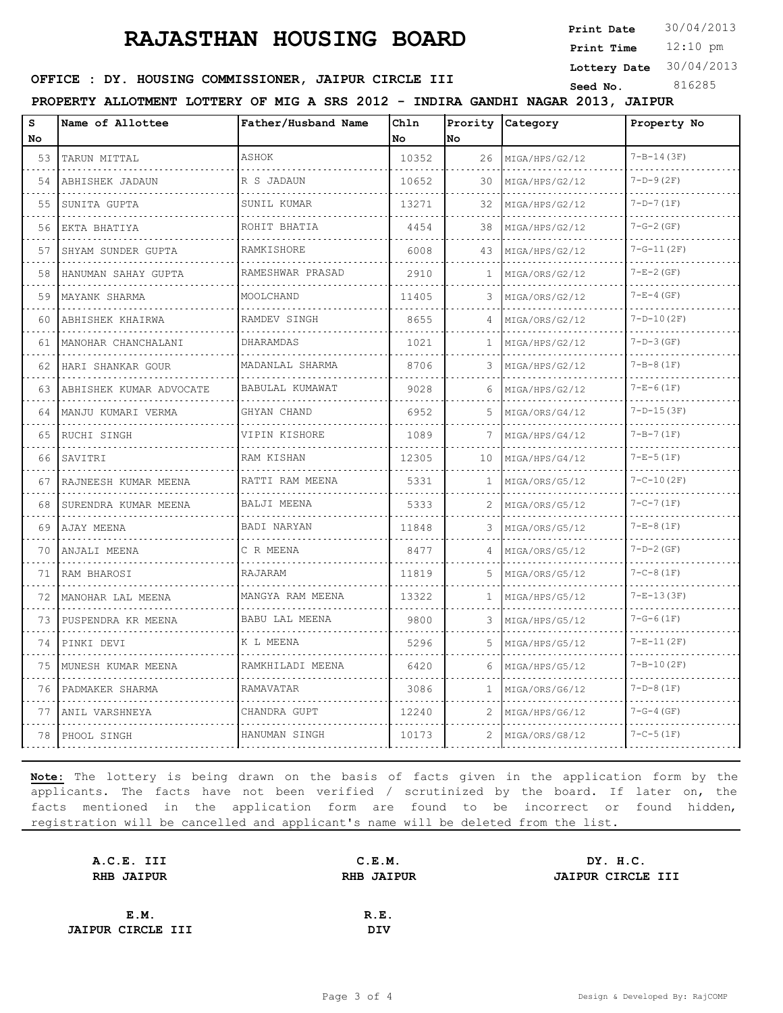# **RAJASTHAN HOUSING BOARD** Print Date 30/04/2013

**Print Date**

12:10 pm **Print Time**

**Lottery Date** 30/04/2013

#### **SEED OFFICE : DY. HOUSING COMMISSIONER, JAIPUR CIRCLE III** Seed No. 816285

**PROPERTY ALLOTMENT LOTTERY OF MIG A SRS 2012 - INDIRA GANDHI NAGAR 2013, JAIPUR**

S Name of Allottee **Chln Name of Allottee Father/Husband Name Prority Category Property No No No No** 53 TARUN MITTAL ASHOK 10352 26 MIGA/HPS/G2/12 7-B-14(3F) . . . . . . . . . . . . . . . . . . . . . . . . . . . . . . . . . 54 ABHISHEK JADAUN R S JADAUN 10652 30 MIGA/HPS/G2/12 7-D-9(2F) 55 SUNITA GUPTA SUNIL KUMAR 13271 32 MIGA/HPS/G2/12 7-D-7(1F) 56 EKTA BHATIYA ROHIT BHATIA 4454 38 MIGA/HPS/G2/12 7-G-2(GF) . . . . . . . . . . . . . . . . . 57 SHYAM SUNDER GUPTA RAMKISHORE 6008 43 MIGA/HPS/G2/12 7-G-11(2F)  $\sim$   $\sim$   $\sim$ <u>. . . . . . .</u> . . . . . . . . . . . . . . . . . . . . . . . . . . . . . . . . . 58 HANUMAN SAHAY GUPTA RAMESHWAR PRASAD 2910 1 MIGA/ORS/G2/12 7-E-2(GF) . . . . .  $\sim$   $\sim$ . . . . . . . . . . . . . . . . . . . . . . . . . . . . . . . . . . . . . 59 MAYANK SHARMA MOOLCHAND 11405 3 MIGA/ORS/G2/12 7-E-4(GF) . . . . . . . . . . . . . . . . . . . 60 ABHISHEK KHAIRWA RAMDEV SINGH 8655 4 MIGA/ORS/G2/12 7-D-10(2F) 61 MANOHAR CHANCHALANI DHARAMDAS 1021 1021 MIGA/HPS/G2/12 7-D-3(GF) 62 HARI SHANKAR GOUR MADANLAL SHARMA 8706 3 MIGA/HPS/G2/12 7-B-8(1F) 63 ABHISHEK KUMAR ADVOCATE BABULAL KUMAWAT 9028 6 MIGA/HPS/G2/12 7-E-6(1F) a a c and a straight - - - -. . . . . . . . . . . . 64 MANJU KUMARI VERMA GHYAN CHAND 6952 5 MIGA/ORS/G4/12 7-D-15(3F) <u>. . . . . . . . . . . . . . . .</u> . . . . . . . . . . . . .  $\sim$   $\sim$   $\sim$ . . . . . . .  $-$ 65 RUCHI SINGH VIPIN KISHORE 1089 7 MIGA/HPS/G4/12 7-B-7(1F)  $\mathcal{L}^{\mathcal{L}}(\mathcal{L}^{\mathcal{L}}(\mathcal{L}^{\mathcal{L}}(\mathcal{L}^{\mathcal{L}}(\mathcal{L}^{\mathcal{L}}(\mathcal{L}^{\mathcal{L}}(\mathcal{L}^{\mathcal{L}}(\mathcal{L}^{\mathcal{L}}(\mathcal{L}^{\mathcal{L}}(\mathcal{L}^{\mathcal{L}}(\mathcal{L}^{\mathcal{L}}(\mathcal{L}^{\mathcal{L}}(\mathcal{L}^{\mathcal{L}}(\mathcal{L}^{\mathcal{L}}(\mathcal{L}^{\mathcal{L}}(\mathcal{L}^{\mathcal{L}}(\mathcal{L}^{\mathcal{L$ . . . . . . . . . . . . . . . . . . . . . 66 SAVITRI RAM KISHAN 12305 10 MIGA/HPS/G4/12 7-E-5(1F) 67 RAJNEESH KUMAR MEENA RATTI RAM MEENA 5331 1 1 MIGA/0RS/G5/12 7-C-10(2F) 68 SURENDRA KUMAR MEENA BALJI MEENA  $\begin{bmatrix} 5333 & 2 \end{bmatrix}$  MIGA/ORS/G5/12  $\begin{bmatrix} 7-C-7(1F) \\ 7-C-7(1F) \end{bmatrix}$ . . . . . . . . . . . . . . . . . . . . . . . . . . . . .  $1.1.1.1.1$  $\sim$ . . . . . . . . . . . . . . . . 69 AJAY MEENA BADI NARYAN 11848 3 MIGA/ORS/G5/12 7-E-8(1F)  $\sim 100$ . . . . . . . . . . . . . . . . . . . . . . . . . . . . . . . . . . . . . . . . . . . . . . . . . . . . . 70 ANJALI MEENA C R MEENA 8477 4 MIGA/ORS/G5/12 7-D-2(GF) . . . . . . . . . . . . . . . . . . . . . . . . . . . . . . . . . . . . . . . . . . . . . . . . . . . . . . . . . . . . . . . . . . . . . 71 RAM BHAROSI RAJARAM 11819 5 MIGA/ORS/G5/12 7-C-8(1F) . . . . . . . . . . . . . . . . . . . . . . . . . . . . . . . . . . . . . . . . . . . . . . 72 MANOHAR LAL MEENA MANGYA RAM MEENA 13322 1 1 MIGA/HPS/G5/12 7-E-13(3F) 73 PUSPENDRA KR MEENA BABU LAL MEENA 9800 3 MIGA/HPS/G5/12 7-G-6(1F) 74 PINKI DEVI K L MEENA 5296 5 MIGA/HPS/G5/12 7-E-11(2F) 111 . . . . . . . . . . . . . . . . . . . . . . . . . . . . . . . . . . . . . . . . . . . . . . . . . . . . . . . . 75 MUNESH KUMAR MEENA RAMKHILADI MEENA 6420 6 MIGA/HPS/G5/12 7-B-10(2F) a a a a a a a a a l . . . . . . . . . . . . . . . . . . . . . . . . . . . . . . . . . 76 PADMAKER SHARMA RAMAVATAR 3086 1 MIGA/ORS/G6/12 7-D-8(1F)  $\sim$ . . . . . . . . . . . . . . . . . . . . . . . . . . . . . . . . . . 77 ANIL VARSHNEYA CHANDRA GUPT 12240 2 MIGA/HPS/G6/12 7-G-4(GF)  $\sim$   $\sim$   $\sim$ . . . . . . . . . . . . . . . . . 78 PHOOL SINGH HANUMAN SINGH 10173 2 MIGA/ORS/G8/12 7-C-5(1F)

**Note:** The lottery is being drawn on the basis of facts given in the application form by the applicants. The facts have not been verified / scrutinized by the board. If later on, the facts mentioned in the application form are found to be incorrect or found hidden, registration will be cancelled and applicant's name will be deleted from the list.

| A.C.E. III               | C.E.M.            | DY. H.C.          |
|--------------------------|-------------------|-------------------|
| <b>RHB JAIPUR</b>        | <b>RHB JAIPUR</b> | JAIPUR CIRCLE III |
|                          |                   |                   |
| E.M.                     | R.E.              |                   |
| <b>JAIPUR CIRCLE III</b> | DIV               |                   |
|                          |                   |                   |